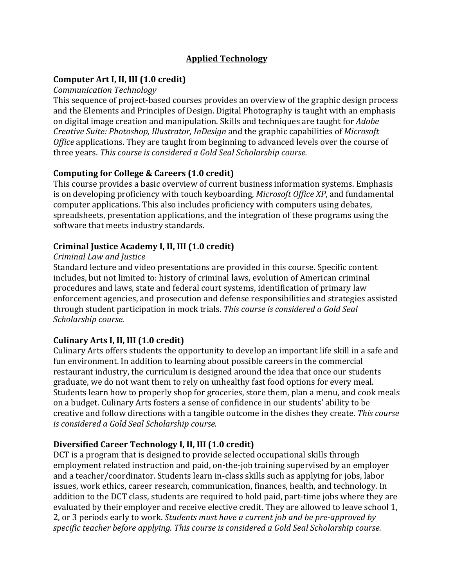# **Applied Technology**

## **Computer Art I, II, III (1.0 credit)**

#### *Communication Technology*

This sequence of project-based courses provides an overview of the graphic design process and the Elements and Principles of Design. Digital Photography is taught with an emphasis on digital image creation and manipulation. Skills and techniques are taught for *Adobe Creative Suite: Photoshop, Illustrator, InDesign* and the graphic capabilities of *Microsoft* Office applications. They are taught from beginning to advanced levels over the course of three years. This course is considered a Gold Seal Scholarship course.

### **Computing for College & Careers (1.0 credit)**

This course provides a basic overview of current business information systems. Emphasis is on developing proficiency with touch keyboarding, *Microsoft Office XP*, and fundamental computer applications. This also includes proficiency with computers using debates, spreadsheets, presentation applications, and the integration of these programs using the software that meets industry standards.

#### **Criminal Justice Academy I, II, III (1.0 credit)**

#### *Criminal Law and Justice*

Standard lecture and video presentations are provided in this course. Specific content includes, but not limited to: history of criminal laws, evolution of American criminal procedures and laws, state and federal court systems, identification of primary law enforcement agencies, and prosecution and defense responsibilities and strategies assisted through student participation in mock trials. This course is considered a Gold Seal *Scholarship course.*

# **Culinary Arts I, II, III (1.0 credit)**

Culinary Arts offers students the opportunity to develop an important life skill in a safe and fun environment. In addition to learning about possible careers in the commercial restaurant industry, the curriculum is designed around the idea that once our students graduate, we do not want them to rely on unhealthy fast food options for every meal. Students learn how to properly shop for groceries, store them, plan a menu, and cook meals on a budget. Culinary Arts fosters a sense of confidence in our students' ability to be creative and follow directions with a tangible outcome in the dishes they create. This course *is considered a Gold Seal Scholarship course.* 

#### **Diversified Career Technology I, II, III (1.0 credit)**

DCT is a program that is designed to provide selected occupational skills through employment related instruction and paid, on-the-job training supervised by an employer and a teacher/coordinator. Students learn in-class skills such as applying for jobs, labor issues, work ethics, career research, communication, finances, health, and technology. In addition to the DCT class, students are required to hold paid, part-time jobs where they are evaluated by their employer and receive elective credit. They are allowed to leave school 1, 2, or 3 periods early to work. *Students must have a current job and be pre-approved by* specific teacher before applying. This course is considered a Gold Seal Scholarship course.